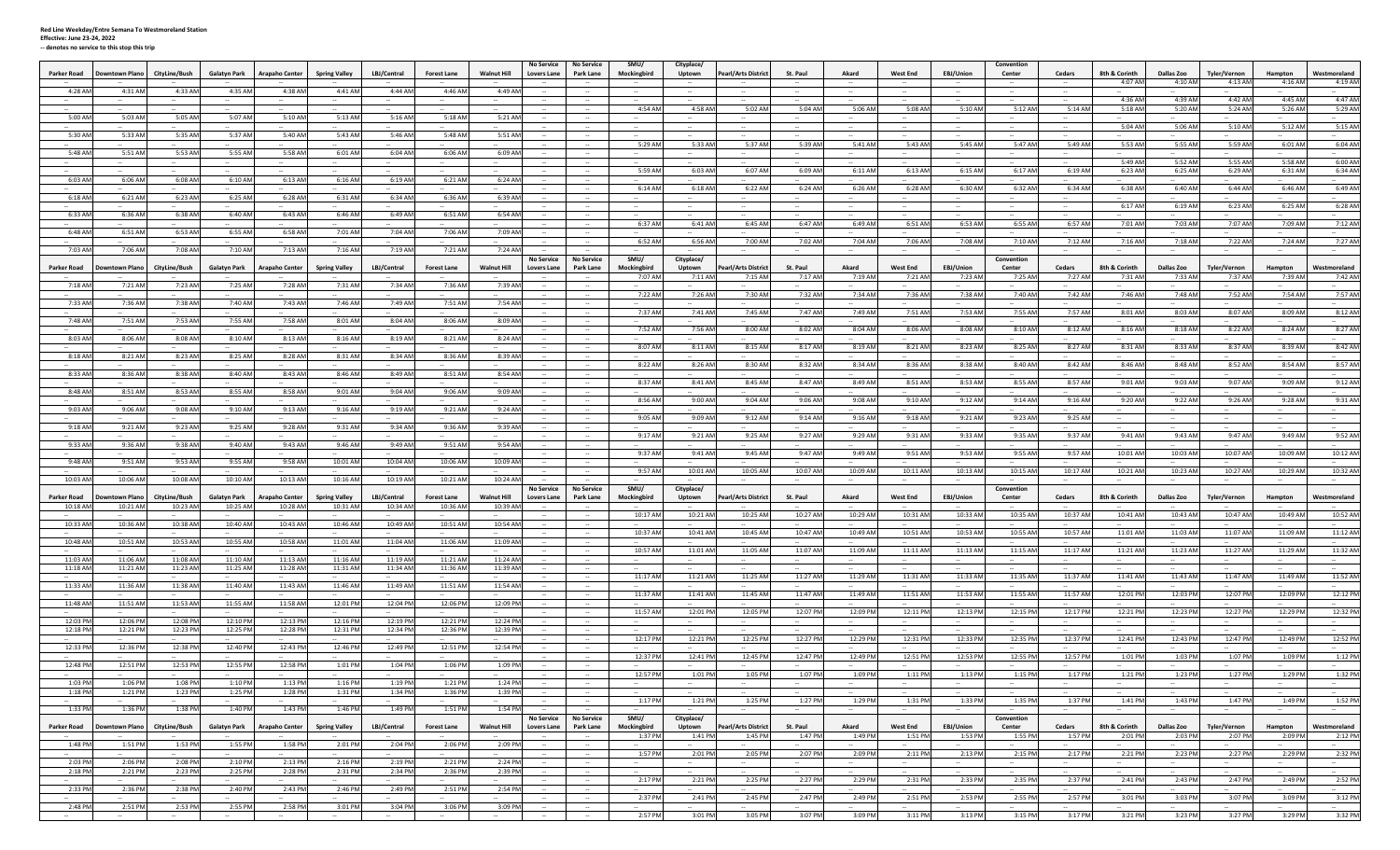|                          |                           |                   |                     |                                     |                                     |                               |                              | No Service                                                                | No Service        | SMU/                                 | Cityplace/      |                            |                 |                  |                 |                     | Convention     |                |                   |            |                     |                   |                     |
|--------------------------|---------------------------|-------------------|---------------------|-------------------------------------|-------------------------------------|-------------------------------|------------------------------|---------------------------------------------------------------------------|-------------------|--------------------------------------|-----------------|----------------------------|-----------------|------------------|-----------------|---------------------|----------------|----------------|-------------------|------------|---------------------|-------------------|---------------------|
| Parker Road              | <b>Downtown Plano</b>     | CityLine/Bush     | <b>Galatyn Park</b> | Arapaho Center                      | <b>Spring Valley</b>                | LBJ/Central                   | <b>Forest Lane</b>           | <b>Walnut Hill</b><br>Lovers Lane                                         | Park Lane         | Mockingbird                          | Uptown          | <b>Pearl/Arts District</b> | St. Paul        | Akard            | <b>West End</b> | EBJ/Union           | Center         | Cedars         | 8th & Corinth     | Dallas Zoo | <b>Tyler/Vernon</b> | Hampton           | Westmoreland        |
|                          |                           |                   |                     |                                     |                                     |                               |                              |                                                                           |                   |                                      |                 |                            |                 |                  |                 |                     |                |                | 4:07 AM           | 4:10 AN    | 4:13 AM             | 4:16 AM           | 4:19 AM             |
| 4:28 AM                  | 4:31 AM                   | 4:33 AM           | 4:35 AM             | 4:38 AM                             | 4:41 AM                             | 4:44 AM                       | 4:46 AM                      | 4:49 AM                                                                   |                   |                                      |                 |                            |                 |                  |                 |                     |                |                |                   |            |                     |                   |                     |
|                          |                           |                   |                     |                                     |                                     |                               |                              |                                                                           |                   |                                      |                 |                            |                 |                  |                 |                     |                |                | 4:36 AM           | 4:39 AM    | 4:42 AM             | 4:45 AM           | 4:47 AM             |
|                          | $\sim$                    | $\sim$            | $\sim$              |                                     | $\sim$                              |                               |                              |                                                                           | $\sim$            | 4:54 AN                              | 4:58 AM         | 5:02 AM                    | 5:04 AM         | 5:06 AM          | 5:08 AM         | 5:10 AM             | 5:12 AM        | 5:14 AM        | 5:18 AM           | 5:20 AM    | 5:24 AM             | 5:26 AM           | 5:29 AM             |
| 5:00 AM                  | 5:03 AM                   | 5:05 AM           | 5:07 AM             | 5:10 AM                             | 5:13 AM                             | 5:16 AM                       | 5:18 AM                      | 5:21 AM                                                                   |                   |                                      |                 | $\sim$                     | $\sim$          | $\sim$           |                 | $\sim$              |                |                |                   |            |                     |                   |                     |
|                          |                           |                   |                     |                                     |                                     |                               |                              |                                                                           |                   |                                      |                 |                            |                 |                  |                 |                     |                |                | 5:04 AM           | 5:06 AM    | 5:10 AM             | 5:12 AM           | 5:15 AM             |
| 5:30 AM                  | 5:33 AM                   | 5:35 AN           | 5:37 AI             | 5:40 AN                             | 5:43 AN                             | 5:46 AN                       | 5:48 AM                      | 5:51 AM                                                                   |                   |                                      |                 |                            |                 |                  |                 |                     |                |                |                   |            |                     |                   |                     |
|                          |                           |                   |                     |                                     |                                     |                               |                              |                                                                           |                   | 5:29 Al                              | 5:33 AN         | 5:37 AN                    | 5:39 AN         | 5:41 AM          | 5:43 AM         | 5:45 AN             | 5:47 AM        | 5:49 AM        | 5:53 AM           | 5:55 AN    | 5:59 AM             | 6:01 AM           | 6:04 AM             |
| 5:48 AM                  | 5:51 AM                   | 5:53 AM           | 5:55 AM             | 5:58 AM                             | 6:01 AM                             | 6:04 AM                       | 6:06 AM                      | 6:09 AM                                                                   |                   |                                      |                 |                            |                 |                  |                 |                     |                |                |                   |            |                     |                   |                     |
|                          |                           |                   |                     |                                     |                                     |                               |                              |                                                                           |                   |                                      |                 |                            |                 |                  |                 |                     |                |                | 5:49 AM           | 5:52 AN    | 5:55 AM             | 5:58 AM           | 6:00 AM             |
|                          |                           |                   |                     |                                     |                                     |                               |                              |                                                                           |                   | 5:59 AM                              | 6:03 AN         | 6:07 AN                    | 6:09 AN         | 6:11 AM          | 6:13 AM         | 6:15 AM             | 6:17 AM        | 6:19 AM        | 6:23 AM           | 6:25 AM    | 6:29 AM             | 6:31 AM           | 6:34 AM             |
| 6:03 AM                  | 6:06 AM                   | 6:08 AM           | 6:10 AM             | 6:13 AM                             | 6:16 AM                             | 6:19 AM                       | 6:21 AM                      | 6:24 AM                                                                   |                   |                                      |                 |                            |                 |                  |                 |                     |                |                |                   |            |                     |                   |                     |
|                          |                           |                   |                     |                                     |                                     |                               |                              |                                                                           |                   | 6:14 AM                              | 6:18 AM         | 6:22 AN                    | 6:24 AM         | 6:26 AM          | 6:28 AM         | 6:30 AM             | 6:32 AM        | 6:34 AM        | 6:38 AM           | 6:40 AM    | 6:44 AM             | 6:46 AM           | 6:49 AM             |
| 6:18 AM                  | 6:21 AM                   | 6:23 AM           | 6:25 AM             | 6:28 AM                             | 6:31 AM                             | 6:34 AM                       | 6:36 AM                      | 6:39 AM                                                                   |                   |                                      |                 |                            |                 |                  |                 |                     |                |                |                   |            |                     |                   |                     |
|                          |                           |                   |                     |                                     |                                     |                               |                              |                                                                           | $\sim$            |                                      |                 |                            |                 |                  |                 |                     |                |                | 6:17 AM           | 6:19 AM    | 6:23 AM             | 6:25 AN           | 6:28 AM             |
| 6:33 AM                  | 6:36 AM                   | 6:38 AN           | 6:40 AM             | 6:43 AM                             | 6:46 AM                             | 6:49 AM                       | 6:51 AM                      | 6:54 AM                                                                   | $\sim$            | 6:37 AN                              | 6:41 AM         | 6:45 AM                    | 6:47 AN         | 6:49 AM          | 6:51 AM         | 6:53 AM             | 6:55 AM        | 6:57 AM        | 7:01 AM           | 7:03 AN    | 7:07 AM             | 7:09 AM           | 7:12 AM             |
|                          |                           |                   |                     |                                     |                                     |                               |                              |                                                                           |                   |                                      |                 |                            |                 |                  |                 |                     |                |                |                   |            |                     |                   |                     |
| 6:48 AM                  | 6:51 AM                   | 6:53 AM           | 6:55 AM             | 6:58 AM                             | 7:01 AM                             | 7:04 AM                       | 7:06 AM                      | 7:09 AM                                                                   |                   |                                      |                 |                            |                 |                  |                 |                     |                |                |                   |            |                     |                   |                     |
| 7:03 AM                  | 7:06 AM                   | 7:08 AM           | 7:10 AM             |                                     |                                     |                               |                              |                                                                           |                   | 6:52 AI                              | 6:56 AN         | 7:00 AN                    | 7:02 AN         | 7:04 AM          | 7:06 AM         | 7:08 AM             | 7:10 AM        | 7:12 AM        | 7:16 AM           | 7:18 AN    | 7:22 AN             | 7:24 AM           | 7:27 AM             |
|                          |                           |                   |                     | 7:13 AM                             | 7:16 AM                             | 7:19 AM                       | 7:21 AM                      | 7:24 AM                                                                   | $\sim$            | $\sim$                               | $\sim$          | $\sim$                     | $\sim$          | $\sim$           | $\sim$          | $\sim$              | $\sim$         | $\sim$         | $\sim$            | $\sim$     | $\sim$              | $\sim$            |                     |
|                          |                           |                   |                     |                                     |                                     |                               |                              | No Service                                                                | <b>No Service</b> | SMU/                                 | Cityplace/      |                            |                 |                  |                 |                     | Convention     |                |                   |            |                     |                   |                     |
| Parker Road              | wntown Plano              | CityLine/Bush     | <b>Galatyn Park</b> | Arapaho Center                      | <b>Spring Valley</b>                | LBJ/Central                   | <b>Forest Lane</b>           | <b>Walnut Hill</b><br>Lovers Lane                                         | Park Lane         | Mockingbird                          | Uptown          | earl/Arts District         | St. Paul        | Akard            | <b>West End</b> | EBJ/Union           | Center         | Cedars         | 8th & Corinth     | Dallas Zoo | Tyler/Vernon        | Hampton           | <b>Nestmoreland</b> |
|                          |                           |                   |                     |                                     |                                     |                               |                              |                                                                           |                   | 7:07 AM                              | 7:11 AM         | 7:15 AM                    | 7:17 AN         | 7:19 AM          | 7:21 AM         | 7:23 AM             | 7:25 AM        | 7:27 AM        | 7:31 AM           | 7:33 AN    | 7:37 AM             | 7:39 AN           | 7:42 AM             |
| 7:18 AM                  | 7:21 AM                   | 7:23 AN           | 7:25 AI             | 7:28 AM                             | 7:31 AM                             | 7:34 AM                       | 7:36 AN                      | 7:39 AN                                                                   |                   |                                      |                 |                            |                 |                  |                 |                     |                |                |                   |            |                     |                   |                     |
|                          |                           |                   |                     |                                     |                                     |                               |                              |                                                                           |                   | 7:22 AM                              | 7:26 AM         | 7:30 AM                    | 7:32 AN         | 7:34 AM          | 7:36 AM         | 7:38 AM             | 7:40 AM        | 7:42 AM        | 7:46 AM           | 7:48 AP    | 7:52 AM             | 7:54 AM           | 7:57 AM             |
| 7:33 AM                  | 7:36 AM                   | 7:38 AM           | 7:40 AM             | 7:43 AM                             | 7:46 AM                             | 7:49 AM                       | 7:51 AM                      | 7:54 AM                                                                   |                   |                                      |                 |                            |                 |                  |                 |                     |                |                |                   |            |                     |                   |                     |
|                          |                           |                   |                     |                                     |                                     |                               |                              |                                                                           |                   | 7:37 AN                              | 7:41 AM         | 7:45 AM                    | 7:47 AM         | 7:49 AM          | 7:51 AM         | 7:53 AM             | 7:55 AM        | 7:57 AM        | 8:01 AM           | 8:03 AM    | 8:07 AM             | 8:09 AM           | 8:12 AM             |
| 7:48 AM                  | 7:51 AM                   | 7:53 AM           | 7:55 AI             | 7:58 AM                             | 8:01 AM                             | 8:04 AM                       | 8:06 AM                      | 8:09 AM                                                                   |                   |                                      |                 |                            |                 |                  |                 |                     |                |                |                   |            |                     |                   |                     |
|                          |                           |                   |                     |                                     |                                     |                               |                              |                                                                           |                   | 7:52 AN                              | 7:56 AM         | 8:00 AM                    | 8:02 AM         | 8:04 AM          | 8:06 AM         | 8:08 AM             | 8:10 AM        | 8:12 AM        | 8:16 AM           | 8:18 AM    | 8:22 AM             | 8:24 AM           | 8:27 AM             |
| 8:03 AM                  | 8:06 AM                   | 8:08 AM           | 8:10 AM             | 8:13 AM                             | 8:16 AM                             | 8:19 AM                       | 8:21 AM                      | 8:24 AM                                                                   |                   |                                      |                 |                            |                 |                  |                 |                     |                |                |                   |            |                     |                   |                     |
|                          |                           |                   |                     |                                     |                                     |                               |                              |                                                                           |                   | 8:07 AN                              | 8:11 AM         | 8:15 AM                    | 8:17 AM         | 8:19 AM          | 8:21 AM         | 8:23 AM             | 8:25 AM        | 8:27 AM        | 8:31 AM           | 8:33 AM    | 8:37 AM             | 8:39 AM           | 8:42 AM             |
| 8:18 AM                  | 8:21 AM                   | 8:23 AN           | 8:25 Al             | 8:28 AN                             | 8:31 AM                             | 8:34 AM                       | 8:36 AM                      | 8:39 AM                                                                   |                   |                                      |                 |                            |                 |                  |                 |                     |                |                |                   |            |                     |                   |                     |
|                          |                           |                   |                     |                                     |                                     |                               |                              |                                                                           |                   | 8:22 AM                              | 8:26 AM         | 8:30 AM                    | 8:32 AM         | 8:34 AM          | 8:36 AM         | 8:38 AM             | 8:40 AM        | 8:42 AM        | 8:46 AM           | 8:48 AM    | 8:52 AM             | 8:54 AM           | 8:57 AM             |
| 8:33 AM                  | 8:36 AM                   | 8:38 AM           | 8:40 AM             | 8:43 AM                             | 8:46 AM                             | 8:49 AM                       | 8:51 AM                      | 8:54 AM                                                                   |                   |                                      |                 |                            |                 |                  |                 |                     |                |                |                   |            |                     |                   |                     |
|                          |                           |                   |                     |                                     |                                     |                               |                              |                                                                           |                   | 8:37 AN                              | 8:41 AM         | 8:45 AM                    | 8:47 AM         | 8:49 AM          | 8:51 AM         | 8:53 AM             | 8:55 AM        | 8:57 AM        | 9:01 AM           | 9:03 AM    | 9:07 AM             | 9:09 AM           | 9:12 AM             |
| 8:48 AM                  | 8:51 AM                   | 8:53 AN           | 8:55 Al             | 8:58 AM                             | 9:01 AM                             | 9:04 AM                       | 9:06 AM                      | 9:09 AM                                                                   |                   |                                      |                 |                            |                 |                  |                 |                     |                |                |                   |            |                     |                   |                     |
|                          |                           | $\sim$            |                     |                                     |                                     | $\sim$                        |                              |                                                                           | $\sim$            | 8:56 AN                              | 9:00 AM         | 9:04 AM                    | 9:06 AM         | 9:08 AM          | 9:10 AM         | 9:12 AM             | 9:14 AM        | 9:16 AM        | 9:20 AM           | 9:22 AN    | 9:26 AM             | 9:28 AM           | 9:31 AM             |
| 9:03 AM                  | 9:06 AM                   | 9:08 AM           | 9:10 AM             | 9:13 AM                             | 9:16 AM                             | 9:19 AM                       | 9:21 AM                      | 9:24 AM                                                                   |                   |                                      |                 |                            |                 |                  |                 |                     |                |                |                   | $\sim$     |                     |                   |                     |
|                          |                           |                   |                     |                                     |                                     |                               |                              |                                                                           |                   | 9:05 AN                              | 9:09 AM         | 9:12 AN                    | 9:14 AM         | 9:16 AM          | 9:18 AM         | 9:21 AN             | 9:23 AM        | 9:25 AM        |                   |            |                     |                   |                     |
| 9:18 AM                  | 9:21 AM                   | 9:23 AN           | 9:25 AI             | 9:28 AN                             | 9:31 AN                             | 9:34 AN                       | 9:36 AN                      | 9:39 AN                                                                   |                   |                                      |                 |                            |                 |                  |                 |                     |                |                |                   |            |                     |                   |                     |
|                          |                           |                   |                     |                                     |                                     |                               |                              |                                                                           |                   | 9:17 AM                              | 9:21 AM         | 9:25 AN                    | 9:27 AN         | 9:29 AM          | 9:31 AM         | 9:33 AM             | 9:35 AM        | 9:37 AM        | 9:41 AM           | 9:43 AM    | 9:47 AM             | 9:49 AM           | 9:52 AM             |
| 9:33 AM                  | 9:36 AM                   | 9:38 AN           | 9:40 AM             | 9:43 AM                             | 9:46 AM                             | 9:49 AM                       | 9:51 AM                      | 9:54 AM                                                                   |                   |                                      |                 |                            |                 |                  |                 |                     |                |                |                   |            |                     |                   |                     |
|                          |                           |                   |                     |                                     |                                     |                               |                              |                                                                           |                   |                                      |                 |                            |                 |                  |                 |                     |                |                |                   |            |                     | 10:09 AM          | 10:12 AM            |
|                          |                           |                   |                     |                                     |                                     |                               |                              |                                                                           |                   | 9:37 AN                              | 9:41 AM         | 9:45 AM                    | 9:47 AM         | 9:49 AM          | 9:51 AM         | 9:53 AM             | 9:55 AM        | 9:57 AM        | 10:01 AM          | 10:03 AM   | 10:07 AM            |                   |                     |
| 9:48 AN                  | 9:51 AM                   | 9:53 AM           | 9:55 AI             | 9:58 AM                             | 10:01 AN                            | 10:04 AM                      | 10:06 AN                     | 10:09 AN                                                                  |                   |                                      |                 |                            |                 |                  |                 |                     |                |                |                   |            |                     |                   |                     |
|                          |                           |                   |                     |                                     |                                     |                               |                              |                                                                           | $\sim$            | 9:57 AM                              | 10:01 AM        | 10:05 AM                   | 10:07 AM        | 10:09 AM         | 10:11 AM        | 10:13 AM            | 10:15 AM       | 10:17 AM       | 10:21 AM          | 10:23 AN   | 10:27 AM            | 10:29 AM          | 10:32 AM            |
| 10:03 AM                 | 10:06 AM                  | 10:08 AM          | 10:10 AM            | 10:13 AM                            | 10:16 AM                            | 10:19 AM                      | 10:21 AM                     | 10:24 AM                                                                  |                   |                                      |                 |                            |                 | $\sim$           |                 | $\sim$              |                | $\sim$         | $\sim$            | $\sim$     |                     |                   |                     |
|                          |                           |                   |                     |                                     |                                     |                               |                              | No Service                                                                | <b>No Service</b> | SMU/                                 | Cityplace/      |                            |                 |                  |                 |                     | Convention     |                |                   |            |                     |                   |                     |
| Parker Road              | town Plano                | CityLine/Bush     | <b>Galatyn Park</b> | <b>Arapaho Center</b>               | Spring Valley                       | LBJ/Central                   | Forest Lane                  | <b>Walnut Hill</b><br>overs Lane                                          | Park Lane         | Mockingbird                          | Uptown          | earl/Arts District         | St. Paul        | Akard            | <b>West End</b> | EBJ/Union           | Center         | Cedars         | 8th & Corinth     | Dallas Zoo | Tyler/Vernon        | Hampton           | <b>Nestmoreland</b> |
| 10:18 AN                 | 10:21 AM                  | 10:23 AN          | 10:25 AI            | 10:28 AM                            | 10:31 AM                            | 10:34 AN                      | 10:36 AM                     | 10:39 AN                                                                  |                   |                                      |                 |                            |                 |                  |                 |                     |                |                |                   |            |                     |                   |                     |
|                          |                           |                   |                     |                                     |                                     |                               |                              |                                                                           |                   | 10:17 AM                             | 10:21 AM        | 10:25 AM                   | 10:27 AN        | 10:29 AM         | 10:31 AM        | 10:33 AM            | 10:35 AM       | 10:37 AM       | 10:41 AM          | 10:43 AM   | 10:47 AM            | 10:49 AM          | 10:52 AM            |
| 10:33 AM                 | 10:36 AM                  | 10:38 AM          | 10:40 AM            | 10:43 AM                            | 10:46 AM                            | 10:49 AM                      | 10:51 AM                     | 10:54 AM                                                                  |                   |                                      |                 |                            |                 |                  |                 |                     |                |                |                   |            |                     |                   |                     |
|                          |                           |                   |                     |                                     |                                     |                               |                              |                                                                           |                   | 10:37 AN                             | 10:41 AM        | 10:45 AM                   | 10:47 AM        | 10:49 AM         | 10:51 AM        | 10:53 AM            | 10:55 AM       | 10:57 AM       | 11:01 AM          | 11:03 AM   | 11:07 AM            | 11:09 AM          | 11:12 AM            |
| 10:48 AM                 | 10:51 AM                  | 10:53 AM          | 10:55 AI            | 10:58 AM                            | 11:01 AM                            | 11:04 AM                      | 11:06 AM                     | 11:09 AM                                                                  |                   |                                      |                 |                            |                 |                  |                 |                     |                |                |                   |            |                     |                   |                     |
|                          | $\sim$                    | $\sim$            | $\sim$              |                                     |                                     |                               | $\sim$                       |                                                                           | $\sim$            | 10:57 AM                             | 11:01 AM        | 11:05 AM                   | 11:07 AM        | 11:09 AM         | 11:11 AM        | 11:13 AM            | 11:15 AM       | 11:17 AM       | 11:21 AM          | 11:23 AN   | 11:27 AM            | 11:29 AM          | 11:32 AM            |
| 11:03 AM                 | 11:06 AM                  | 11:08 AM          | 11:10 AM            | 11:13 AM                            | 11:16 AM                            | 11:19 AM                      | 11:21 AM                     | 11:24 AM                                                                  |                   | $\sim$                               | $\sim$          | $\sim$                     | $\sim$          | $\sim$           | $\sim$          | $\sim$              | $\sim$         | $\sim$         | $\sim$            | $\sim$     | $\sim$              | $\sim$            |                     |
| 11:18 AM                 | 11:21 AM                  | 11:23 AM          | 11:25 AI            | 11:28 AM                            | 11:31 AM                            | 11:34 AM                      | 11:36 AM                     | 11:39 AM                                                                  |                   |                                      |                 |                            |                 |                  |                 |                     |                |                |                   |            |                     |                   |                     |
|                          |                           |                   |                     |                                     |                                     |                               |                              |                                                                           |                   | 11:17 A                              | 11:21 AM        | 11:25 AI                   | 11:27 Al        | 11:29 AM         | 11:31 AN        | 11:33 AI            | 11:35 AM       | 11:37 AM       | 11:41 AM          | 11:43 A    | 11:47 AM            | 11:49 A           | 11:52 AM            |
| 11:33 AM                 | 11:36 AM                  | 11:38 AN          | 11:40 AM            | 11:43 AM                            | 11:46 AM                            | 11:49 AN                      | 11:51 AM                     | 11:54 AM                                                                  |                   |                                      |                 |                            |                 |                  |                 |                     |                |                |                   |            |                     |                   |                     |
|                          |                           |                   |                     |                                     |                                     |                               |                              |                                                                           |                   | 11:37 AM                             | 11:41 AM        | 11:45 AM                   | 11:47 AN        | 11:49 AM         | 11:51 AM        | 11:53 AM            | 11:55 AM       | 11:57 AM       | 12:01 PM          | 12:03 PM   | 12:07 PM            | 12:09 PM          | 12:12 PM            |
| 11:48 AM                 | 11:51 AM                  | 11:53 AM          | 11:55 AM            | 11:58 AM                            | 12:01 PM                            | 12:04 PM                      | 12:06 PM                     | 12:09 PM                                                                  |                   |                                      |                 |                            |                 |                  |                 |                     |                |                |                   |            |                     |                   |                     |
|                          |                           |                   |                     |                                     |                                     |                               |                              |                                                                           |                   | 11:57 AM                             | 12:01 PM        | 12:05 PM                   | 12:07 PM        | 12:09 PM         | 12:11 PM        | 12:13 PM            | 12:15 PM       | 12:17 PM       | 12:21 PM          | 12:23 PM   | 12:27 PM            | 12:29 PM          | 12:32 PM            |
| 12:03 PM                 | 12:06 PM                  | 12:08 PM          | 12:10 PM            | 12:13 PM                            | 12:16 PM                            | 12:19 PM                      | 12:21 PM                     | 12:24 PM                                                                  | $\sim$            |                                      |                 | $\sim$                     | $\sim$          | $\sim$           | $\sim$          | $\sim$              | $\sim$         | $\sim$         | $\sim$            | $\sim$     | $\sim$              |                   | $\sim$              |
| 12:18 PM                 | 12:21 PM                  | 12:23 PM          | 12:25 PI            | 12:28 PN                            | 12:31 PM                            | 12:34 PM                      | 12:36 PM                     | 12:39 PM                                                                  |                   |                                      |                 |                            |                 |                  |                 |                     |                |                |                   |            |                     |                   |                     |
|                          |                           |                   |                     |                                     |                                     |                               |                              |                                                                           |                   | 12:17 PM                             | 12:21 PM        | 12:25 PM                   | 12:27 PM        | 12:29 PN         | 12:31 PM        | 12:33 PN            | 12:35 PM       | 12:37 PM       | 12:41 PM          | 12:43 PM   | 12:47 PM            | 12:49 PM          | 12:52 PM            |
| 12:33 PM                 | 12:36 PM                  | 12:38 PM          | 12:40 PI            | 12:43 PM                            | 12:46 PN                            | 12:49 PM                      | 12:51 PN                     | 12:54 PM                                                                  |                   |                                      |                 |                            |                 |                  |                 |                     |                |                |                   |            |                     |                   |                     |
|                          |                           |                   |                     |                                     |                                     |                               |                              |                                                                           |                   | 12:37 P                              | 12:41 PM        | 12:45 PM                   | 12:47 PM        | 12:49 PN         | 12:51 PM        | 12:53 PN            | 12:55 PM       | 12:57 PM       | 1:01 PM           | 1:03 PM    | 1:07 PM             | 1:09 PM           | 1:12 PM             |
| 12:48 PM                 | 12:51 PM                  | 12:53 PN          | 12:55 PI            | 12:58 PN                            | 1:01 PM                             | 1:04 PM                       | 1:06 PM                      | 1:09 PM                                                                   |                   |                                      |                 |                            |                 |                  |                 |                     |                |                |                   |            |                     |                   |                     |
|                          |                           |                   |                     |                                     |                                     |                               |                              |                                                                           |                   | 12:57 PM                             | 1:01 PM         | 1:05 PM                    | 1:07 PM         | 1:09 PM          | 1:11 PM         | 1:13 PM             | 1:15 PM        | 1:17 PM        | 1:21 PM           | 1:23 PM    | 1:27 PM             | 1:29 PM           | 1:32 PM             |
| 1:03 PM                  | 1:06 PM                   | 1:08 PM           | 1:10 PM             | 1:13 PM                             | 1:16 PM                             | 1:19 PM                       | 1:21 PM                      | 1:24 PM                                                                   |                   |                                      |                 |                            |                 |                  |                 |                     |                |                |                   |            |                     |                   |                     |
| 1:18 PM                  | 1:21 PM                   | 1:23 PM           | 1:25 PM             | 1:28 PM                             | 1:31 PM                             | 1:34 PM                       | 1:36 PM                      | 1:39 PM<br>$\sim$ 100 $\pm$                                               | $\sim$ 100 $\pm$  | <b>Contract</b>                      | <b>Service</b>  | $\sim$                     | $\sim$          | $\sim$           | $\sim$          | $\sim$              | $\sim$         | $\sim$         | $\sim$            | $\sim$     | $\sim$              | $\sim$            | $\sim$              |
| <b>Contract Contract</b> | $\sim$                    | $\sim$            | $\sim 100$          | many of                             | $\sim$                              | $\sim$                        | $\sim$                       | $\sim$<br>$\sim$ 100 $\mu$                                                | $\sim$            | 1:17 PM                              | 1:21 PM         | 1:25 PM                    | 1:27 PM         | 1:29 PM          | 1:31 PM         | 1:33 PM             | 1:35 PM        | 1:37 PM        | 1:41 PM           | 1:43 PM    | 1:47 PM             | 1:49 PM           | 1:52 PM             |
| 1:33 PM                  | 1:36 PM                   | 1:38 PM           | 1:40 PM             | 1:43 PM                             | 1:46 PM                             | 1:49 PM                       | 1:51 PM                      | 1:54 PM<br>$\sim 100$ m $^{-1}$                                           | $\sim$            | $\sim 10^{-11}$                      | $\sim$          | $\sim$ $-$                 | $\sim$          | $\sim$ 100 $\mu$ | $\sim$          | $\sim$ 0.000 $\sim$ | $\sim$         | $\sim$         | $\sim$            | $\sim$     | $\sim$              | $\sim$            | $\sim$ 100 $\mu$    |
|                          |                           |                   |                     |                                     |                                     |                               |                              | <b>No Service</b>                                                         | <b>No Service</b> | SMU/                                 | Cityplace/      |                            |                 |                  |                 |                     | Convention     |                |                   |            |                     |                   |                     |
| <b>Parker Road</b>       | Downtown Plano            | CityLine/Bush     | <b>Galatyn Park</b> | <b>Arapaho Center</b>               | <b>Spring Valley</b>                | LBJ/Central                   | <b>Forest Lane</b>           | <b>Walnut Hill</b><br><b>Lovers Lane</b>                                  | Park Lane         | Mockingbird                          | Uptown          | <b>Pearl/Arts District</b> | St. Paul        | Akard            | <b>West End</b> | EBJ/Union           | Center         | Cedars         | 8th & Corinth     | Dallas Zoo | Tyler/Vernon        | Hampton           | Westmoreland        |
|                          |                           |                   |                     |                                     |                                     |                               |                              |                                                                           |                   | 1:37 PM                              | 1:41 PM         | 1:45 PM                    | 1:47 PM         | 1:49 PM          | 1:51 PM         | 1:53 PM             | 1:55 PM        | 1:57 PM        | 2:01 PM           | 2:03 PM    | 2:07 PM             | 2:09 PM           | 2:12 PM             |
| 1:48 PM                  | 1:51 PM                   | 1:53 PM           | 1:55 PM             | 1:58 PM                             | 2:01 PM                             | 2:04 PM                       | 2:06 PM                      | 2:09 PM<br>$\sim$                                                         |                   |                                      |                 |                            |                 |                  |                 |                     |                |                |                   |            |                     |                   |                     |
|                          |                           |                   |                     |                                     |                                     |                               |                              |                                                                           |                   | 1:57 PM                              | 2:01 PM         | 2:05 PM                    | 2:07 PM         | 2:09 PM          | 2:11 PM         | 2:13 PM             | 2:15 PM        | 2:17 PM        | 2:21 PM           | 2:23 PM    | 2:27 PM             | 2:29 PM           | 2:32 PM             |
| 2:03 PM                  | 2:06 PM                   | 2:08 PM           | 2:10 PM             | 2:13 PM                             | 2:16 PM                             | 2:19 PM                       | 2:21 PM                      | 2:24 PM<br>$\sim$                                                         | $\sim$            | $\sim$                               | $-$             | $\sim$                     | --              | <b></b>          | $\sim$          | $\sim$              | $\sim$         | $\sim$         | $\sim$            | $\sim$     | $\sim$              |                   | $\sim$              |
| 2:18 PM                  | 2:21 PM                   | 2:23 PM           | 2:25 PM             | 2:28 PM                             | 2:31 PM                             | 2:34 PM                       | 2:36 PM                      | 2:39 PM<br>$\sim$ 100 $\mu$                                               | $\sim$            | $\sim$                               | $\sim$          | $\sim$                     | $\sim$          | $\sim$           | $\sim$          | $\sim$              | $\sim$         | $\sim$ $\sim$  | $\sim$ $-$        | $\sim$     | $\sim$              | $\sim$            | $\sim$              |
|                          |                           |                   | $\sim$              | $\sim$                              | $\sim 10^{-10}$                     | $\sim 100$                    | $\sim 10^{-10}$              | $\sim$                                                                    | $\sim$            | 2:17 PM                              | 2:21 PM         | 2:25 PM                    | 2:27 PM         | 2:29 PM          | 2:31 PM         | 2:33 PM             | 2:35 PM        | 2:37 PM        | 2:41 PM           | 2:43 PM    | 2:47 PM             | 2:49 PM           | 2:52 PM             |
| 2:33 PM                  | 2:36 PM                   | 2:38 PM           | 2:40 PM             | 2:43 PM                             | 2:46 PM                             | 2:49 PM                       | 2:51 PM                      | 2:54 PM<br>$\sim$ 100 $\mu$                                               | $\sim$ $-$        | $\sim$                               | $\sim 10^{-11}$ |                            | $\sim 10^{-10}$ | $\sim 10^{-10}$  | $\sim 10^{-10}$ | $\sim$              | <b>Section</b> | <b>Section</b> | $\sim$            | $\sim$     | $\sim$              |                   | <b>Section</b>      |
|                          |                           |                   |                     |                                     |                                     |                               |                              |                                                                           | $\sim$            | 2:37 PM                              | 2:41 PM         | 2:45 PM                    | 2:47 PM         | 2:49 PM          | 2:51 PM         | 2:53 PM             | 2:55 PM        | 2:57 PM        | 3:01 PM           | 3:03 PM    | 3:07 PM             | 3:09 PM           | 3:12 PM             |
| 2:48 PM                  | 2:51 PM<br><b>Section</b> | 2:53 PM<br>$\sim$ | 2:55 PM<br>$\sim$   | 2:58 PM<br><b>Contract Contract</b> | 3:01 PM<br><b>Contract Contract</b> | 3:04 PM<br>the company of the | 3:06 PM<br>$\sim$ 100 $\sim$ | 3:09 PM<br><b>Contract Contract</b><br>the company of the<br>$\sim$ $  -$ | $\sim$            | <b>Section</b><br>$-2:57 \text{ PM}$ | 3:01 PM         | $\sim$<br>3:05 PM          | 3:07 PM         | 3:09 PM          | 3:11 PM         | 3:13 PM             | 3:15 PM        | 3:17 PM        | $\sim$<br>3:21 PM | 3:23 PM    | 3:27 PM             | $\sim$<br>3:29 PM | $\sim$<br>3:32 PM   |